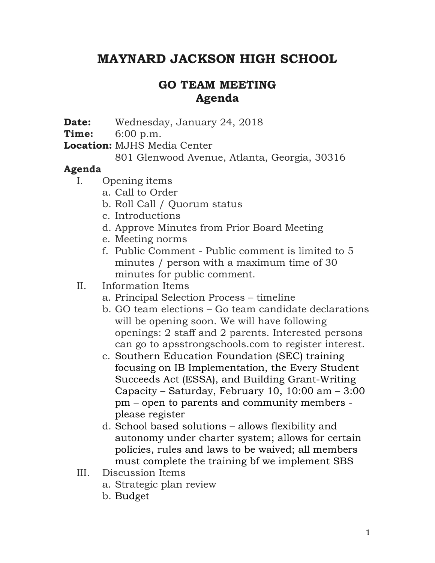## **MAYNARD JACKSON HIGH SCHOOL**

## **GO TEAM MEETING Agenda**

**Date:** Wednesday, January 24, 2018

**Time:** 6:00 p.m.

**Location:** MJHS Media Center

801 Glenwood Avenue, Atlanta, Georgia, 30316

## **Agenda**

I. Opening items

- a. Call to Order
- b. Roll Call / Quorum status
- c. Introductions
- d. Approve Minutes from Prior Board Meeting
- e. Meeting norms
- f. Public Comment Public comment is limited to 5 minutes / person with a maximum time of 30 minutes for public comment.

## II. Information Items

- a. Principal Selection Process timeline
- b. GO team elections Go team candidate declarations will be opening soon. We will have following openings: 2 staff and 2 parents. Interested persons can go to apsstrongschools.com to register interest.
- c. Southern Education Foundation (SEC) training focusing on IB Implementation, the Every Student Succeeds Act (ESSA), and Building Grant-Writing Capacity – Saturday, February 10, 10:00 am – 3:00 pm – open to parents and community members please register
- d. School based solutions allows flexibility and autonomy under charter system; allows for certain policies, rules and laws to be waived; all members must complete the training bf we implement SBS
- III. Discussion Items
	- a. Strategic plan review
	- b. Budget